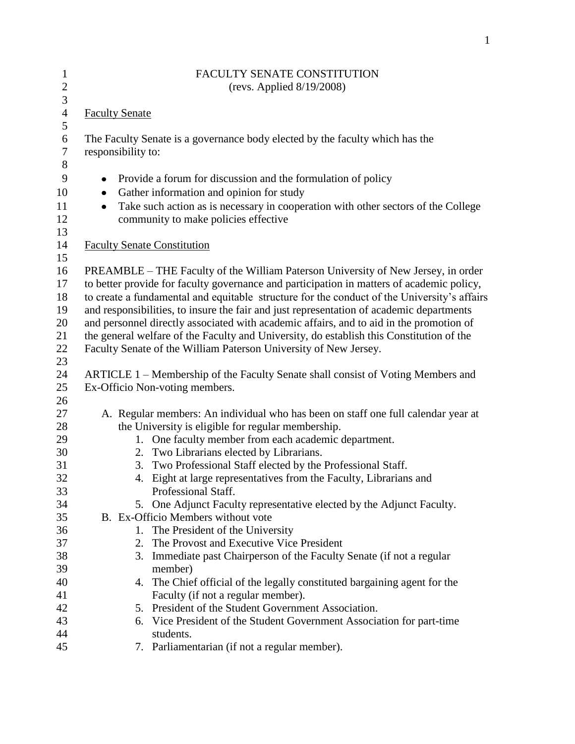| $\mathbf{1}$          | FACULTY SENATE CONSTITUTION                                                                                 |  |  |
|-----------------------|-------------------------------------------------------------------------------------------------------------|--|--|
| $\sqrt{2}$            | (revs. Applied $8/19/2008$ )                                                                                |  |  |
| $\overline{3}$        |                                                                                                             |  |  |
| $\overline{4}$<br>5   | <b>Faculty Senate</b>                                                                                       |  |  |
| 6<br>$\boldsymbol{7}$ | The Faculty Senate is a governance body elected by the faculty which has the<br>responsibility to:          |  |  |
| $8\,$                 |                                                                                                             |  |  |
| 9                     | Provide a forum for discussion and the formulation of policy<br>$\bullet$                                   |  |  |
| 10                    | Gather information and opinion for study<br>٠                                                               |  |  |
| 11                    | Take such action as is necessary in cooperation with other sectors of the College<br>$\bullet$              |  |  |
| 12                    | community to make policies effective                                                                        |  |  |
| 13                    |                                                                                                             |  |  |
| 14                    | <b>Faculty Senate Constitution</b>                                                                          |  |  |
| 15                    |                                                                                                             |  |  |
| 16                    | PREAMBLE – THE Faculty of the William Paterson University of New Jersey, in order                           |  |  |
| 17                    | to better provide for faculty governance and participation in matters of academic policy,                   |  |  |
| 18                    | to create a fundamental and equitable structure for the conduct of the University's affairs                 |  |  |
| 19                    | and responsibilities, to insure the fair and just representation of academic departments                    |  |  |
| 20                    | and personnel directly associated with academic affairs, and to aid in the promotion of                     |  |  |
| 21                    | the general welfare of the Faculty and University, do establish this Constitution of the                    |  |  |
| 22                    | Faculty Senate of the William Paterson University of New Jersey.                                            |  |  |
| 23                    |                                                                                                             |  |  |
| 24                    | ARTICLE 1 – Membership of the Faculty Senate shall consist of Voting Members and                            |  |  |
| 25                    | Ex-Officio Non-voting members.                                                                              |  |  |
| 26                    |                                                                                                             |  |  |
| 27                    | A. Regular members: An individual who has been on staff one full calendar year at                           |  |  |
| 28                    | the University is eligible for regular membership.<br>1. One faculty member from each academic department.  |  |  |
| 29<br>30              |                                                                                                             |  |  |
| 31                    | 2. Two Librarians elected by Librarians.<br>Two Professional Staff elected by the Professional Staff.<br>3. |  |  |
| 32                    | 4. Eight at large representatives from the Faculty, Librarians and                                          |  |  |
| 33                    | Professional Staff.                                                                                         |  |  |
| 34                    | 5. One Adjunct Faculty representative elected by the Adjunct Faculty.                                       |  |  |
| 35                    | B. Ex-Officio Members without vote                                                                          |  |  |
| 36                    | 1. The President of the University                                                                          |  |  |
| 37                    | The Provost and Executive Vice President<br>2.                                                              |  |  |
| 38                    | Immediate past Chairperson of the Faculty Senate (if not a regular<br>3.                                    |  |  |
| 39                    | member)                                                                                                     |  |  |
| 40                    | 4. The Chief official of the legally constituted bargaining agent for the                                   |  |  |
| 41                    | Faculty (if not a regular member).                                                                          |  |  |
| 42                    | 5. President of the Student Government Association.                                                         |  |  |
| 43                    | 6. Vice President of the Student Government Association for part-time                                       |  |  |
| 44                    | students.                                                                                                   |  |  |
| 45                    | 7. Parliamentarian (if not a regular member).                                                               |  |  |
|                       |                                                                                                             |  |  |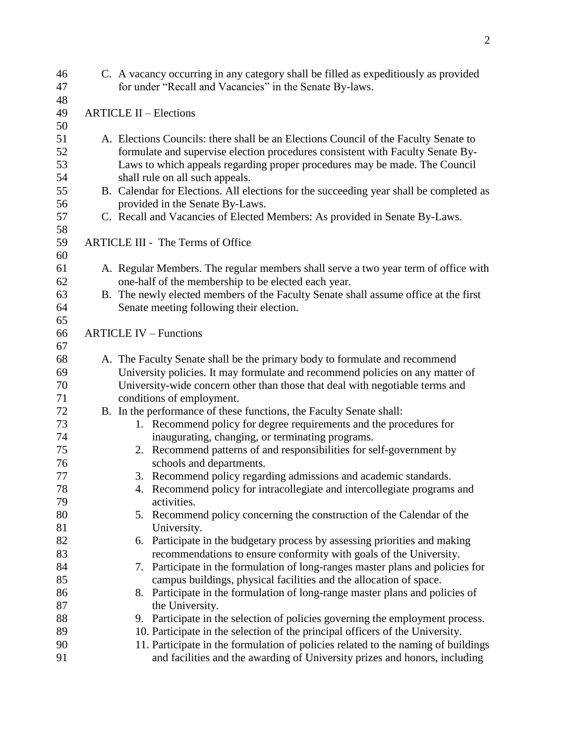| 46 |                               | C. A vacancy occurring in any category shall be filled as expeditiously as provided    |  |  |  |
|----|-------------------------------|----------------------------------------------------------------------------------------|--|--|--|
| 47 |                               | for under "Recall and Vacancies" in the Senate By-laws.                                |  |  |  |
| 48 |                               |                                                                                        |  |  |  |
| 49 | <b>ARTICLE II - Elections</b> |                                                                                        |  |  |  |
| 50 |                               |                                                                                        |  |  |  |
| 51 |                               | A. Elections Councils: there shall be an Elections Council of the Faculty Senate to    |  |  |  |
| 52 |                               | formulate and supervise election procedures consistent with Faculty Senate By-         |  |  |  |
| 53 |                               | Laws to which appeals regarding proper procedures may be made. The Council             |  |  |  |
| 54 |                               | shall rule on all such appeals.                                                        |  |  |  |
| 55 |                               | B. Calendar for Elections. All elections for the succeeding year shall be completed as |  |  |  |
| 56 |                               | provided in the Senate By-Laws.                                                        |  |  |  |
| 57 |                               | C. Recall and Vacancies of Elected Members: As provided in Senate By-Laws.             |  |  |  |
| 58 |                               |                                                                                        |  |  |  |
| 59 |                               | <b>ARTICLE III - The Terms of Office</b>                                               |  |  |  |
| 60 |                               |                                                                                        |  |  |  |
| 61 |                               | A. Regular Members. The regular members shall serve a two year term of office with     |  |  |  |
| 62 |                               | one-half of the membership to be elected each year.                                    |  |  |  |
| 63 |                               | B. The newly elected members of the Faculty Senate shall assume office at the first    |  |  |  |
| 64 |                               | Senate meeting following their election.                                               |  |  |  |
| 65 |                               |                                                                                        |  |  |  |
| 66 |                               | <b>ARTICLE IV – Functions</b>                                                          |  |  |  |
| 67 |                               |                                                                                        |  |  |  |
| 68 |                               | A. The Faculty Senate shall be the primary body to formulate and recommend             |  |  |  |
| 69 |                               | University policies. It may formulate and recommend policies on any matter of          |  |  |  |
| 70 |                               | University-wide concern other than those that deal with negotiable terms and           |  |  |  |
| 71 |                               | conditions of employment.                                                              |  |  |  |
| 72 |                               | B. In the performance of these functions, the Faculty Senate shall:                    |  |  |  |
| 73 |                               | 1. Recommend policy for degree requirements and the procedures for                     |  |  |  |
| 74 |                               | inaugurating, changing, or terminating programs.                                       |  |  |  |
| 75 |                               | 2. Recommend patterns of and responsibilities for self-government by                   |  |  |  |
| 76 |                               | schools and departments.                                                               |  |  |  |
| 77 |                               | 3. Recommend policy regarding admissions and academic standards.                       |  |  |  |
| 78 |                               | 4. Recommend policy for intracollegiate and intercollegiate programs and               |  |  |  |
| 79 |                               | activities.                                                                            |  |  |  |
| 80 |                               | 5. Recommend policy concerning the construction of the Calendar of the                 |  |  |  |
| 81 |                               | University.                                                                            |  |  |  |
| 82 |                               | 6. Participate in the budgetary process by assessing priorities and making             |  |  |  |
| 83 |                               | recommendations to ensure conformity with goals of the University.                     |  |  |  |
| 84 |                               | Participate in the formulation of long-ranges master plans and policies for<br>7.      |  |  |  |
| 85 |                               | campus buildings, physical facilities and the allocation of space.                     |  |  |  |
| 86 |                               |                                                                                        |  |  |  |
| 87 |                               | 8. Participate in the formulation of long-range master plans and policies of           |  |  |  |
|    |                               | the University.                                                                        |  |  |  |
| 88 |                               | 9. Participate in the selection of policies governing the employment process.          |  |  |  |
| 89 |                               | 10. Participate in the selection of the principal officers of the University.          |  |  |  |
| 90 |                               | 11. Participate in the formulation of policies related to the naming of buildings      |  |  |  |
| 91 |                               | and facilities and the awarding of University prizes and honors, including             |  |  |  |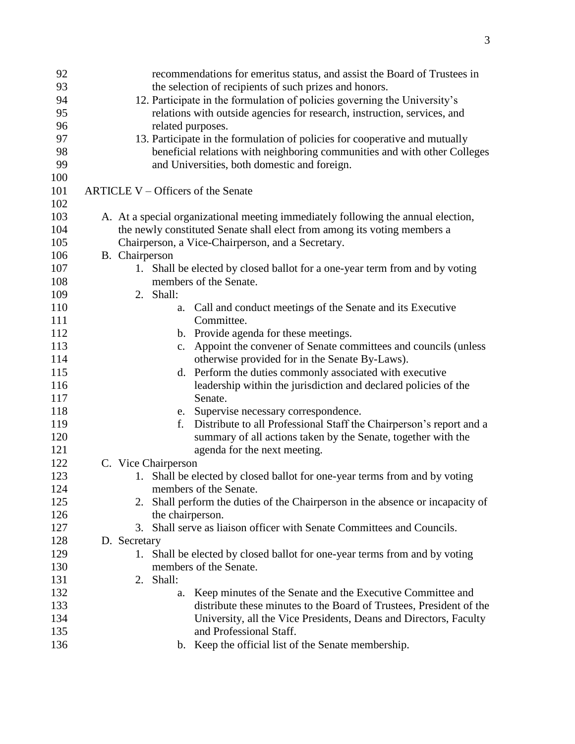| 92         | recommendations for emeritus status, and assist the Board of Trustees in                      |
|------------|-----------------------------------------------------------------------------------------------|
| 93         | the selection of recipients of such prizes and honors.                                        |
| 94         | 12. Participate in the formulation of policies governing the University's                     |
| 95         | relations with outside agencies for research, instruction, services, and                      |
| 96         | related purposes.                                                                             |
| 97         | 13. Participate in the formulation of policies for cooperative and mutually                   |
| 98         | beneficial relations with neighboring communities and with other Colleges                     |
| 99         | and Universities, both domestic and foreign.                                                  |
| 100        |                                                                                               |
| 101        | ARTICLE V - Officers of the Senate                                                            |
| 102        |                                                                                               |
| 103        | A. At a special organizational meeting immediately following the annual election,             |
| 104        | the newly constituted Senate shall elect from among its voting members a                      |
| 105        | Chairperson, a Vice-Chairperson, and a Secretary.                                             |
| 106        | B. Chairperson                                                                                |
| 107        | 1. Shall be elected by closed ballot for a one-year term from and by voting                   |
| 108        | members of the Senate.                                                                        |
| 109        | 2. Shall:                                                                                     |
| 110        | Call and conduct meetings of the Senate and its Executive<br>a.                               |
| 111        | Committee.                                                                                    |
| 112        | b. Provide agenda for these meetings.                                                         |
| 113        | c. Appoint the convener of Senate committees and councils (unless                             |
| 114        | otherwise provided for in the Senate By-Laws).                                                |
| 115        | d. Perform the duties commonly associated with executive                                      |
| 116        | leadership within the jurisdiction and declared policies of the                               |
| 117        | Senate.                                                                                       |
| 118<br>119 | e. Supervise necessary correspondence.<br>f.                                                  |
| 120        | Distribute to all Professional Staff the Chairperson's report and a                           |
| 121        | summary of all actions taken by the Senate, together with the<br>agenda for the next meeting. |
| 122        | C. Vice Chairperson                                                                           |
| 123        | 1. Shall be elected by closed ballot for one-year terms from and by voting                    |
| 124        | members of the Senate.                                                                        |
| 125        | Shall perform the duties of the Chairperson in the absence or incapacity of<br>2.             |
| 126        | the chairperson.                                                                              |
| 127        | Shall serve as liaison officer with Senate Committees and Councils.<br>3.                     |
| 128        | D. Secretary                                                                                  |
| 129        | 1. Shall be elected by closed ballot for one-year terms from and by voting                    |
| 130        | members of the Senate.                                                                        |
| 131        | 2. Shall:                                                                                     |
| 132        | Keep minutes of the Senate and the Executive Committee and<br>a.                              |
| 133        | distribute these minutes to the Board of Trustees, President of the                           |
| 134        | University, all the Vice Presidents, Deans and Directors, Faculty                             |
| 135        | and Professional Staff.                                                                       |
| 136        | b. Keep the official list of the Senate membership.                                           |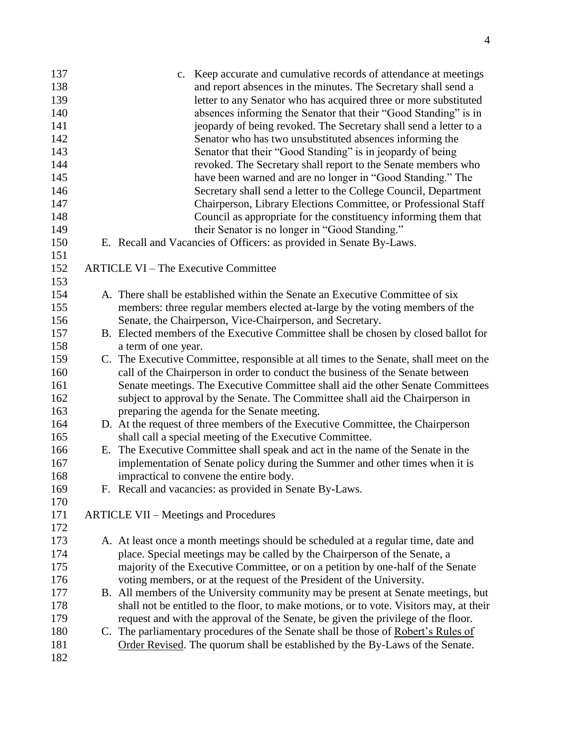| 137 | c. Keep accurate and cumulative records of attendance at meetings                       |
|-----|-----------------------------------------------------------------------------------------|
| 138 | and report absences in the minutes. The Secretary shall send a                          |
| 139 | letter to any Senator who has acquired three or more substituted                        |
| 140 | absences informing the Senator that their "Good Standing" is in                         |
| 141 | jeopardy of being revoked. The Secretary shall send a letter to a                       |
| 142 | Senator who has two unsubstituted absences informing the                                |
| 143 | Senator that their "Good Standing" is in jeopardy of being                              |
| 144 | revoked. The Secretary shall report to the Senate members who                           |
| 145 | have been warned and are no longer in "Good Standing." The                              |
| 146 | Secretary shall send a letter to the College Council, Department                        |
| 147 | Chairperson, Library Elections Committee, or Professional Staff                         |
| 148 | Council as appropriate for the constituency informing them that                         |
| 149 | their Senator is no longer in "Good Standing."                                          |
| 150 | E. Recall and Vacancies of Officers: as provided in Senate By-Laws.                     |
| 151 |                                                                                         |
| 152 | <b>ARTICLE VI – The Executive Committee</b>                                             |
| 153 |                                                                                         |
| 154 | A. There shall be established within the Senate an Executive Committee of six           |
| 155 | members: three regular members elected at-large by the voting members of the            |
| 156 | Senate, the Chairperson, Vice-Chairperson, and Secretary.                               |
| 157 | B. Elected members of the Executive Committee shall be chosen by closed ballot for      |
| 158 | a term of one year.                                                                     |
| 159 | C. The Executive Committee, responsible at all times to the Senate, shall meet on the   |
| 160 | call of the Chairperson in order to conduct the business of the Senate between          |
| 161 | Senate meetings. The Executive Committee shall aid the other Senate Committees          |
| 162 | subject to approval by the Senate. The Committee shall aid the Chairperson in           |
| 163 | preparing the agenda for the Senate meeting.                                            |
| 164 | D. At the request of three members of the Executive Committee, the Chairperson          |
| 165 | shall call a special meeting of the Executive Committee.                                |
| 166 | E. The Executive Committee shall speak and act in the name of the Senate in the         |
| 167 | implementation of Senate policy during the Summer and other times when it is            |
| 168 | impractical to convene the entire body.                                                 |
| 169 | F. Recall and vacancies: as provided in Senate By-Laws.                                 |
| 170 |                                                                                         |
| 171 | <b>ARTICLE VII – Meetings and Procedures</b>                                            |
| 172 |                                                                                         |
| 173 | A. At least once a month meetings should be scheduled at a regular time, date and       |
| 174 | place. Special meetings may be called by the Chairperson of the Senate, a               |
| 175 | majority of the Executive Committee, or on a petition by one-half of the Senate         |
| 176 | voting members, or at the request of the President of the University.                   |
| 177 | B. All members of the University community may be present at Senate meetings, but       |
| 178 | shall not be entitled to the floor, to make motions, or to vote. Visitors may, at their |
| 179 | request and with the approval of the Senate, be given the privilege of the floor.       |
| 180 | C. The parliamentary procedures of the Senate shall be those of Robert's Rules of       |
| 181 | Order Revised. The quorum shall be established by the By-Laws of the Senate.            |
| 182 |                                                                                         |
|     |                                                                                         |